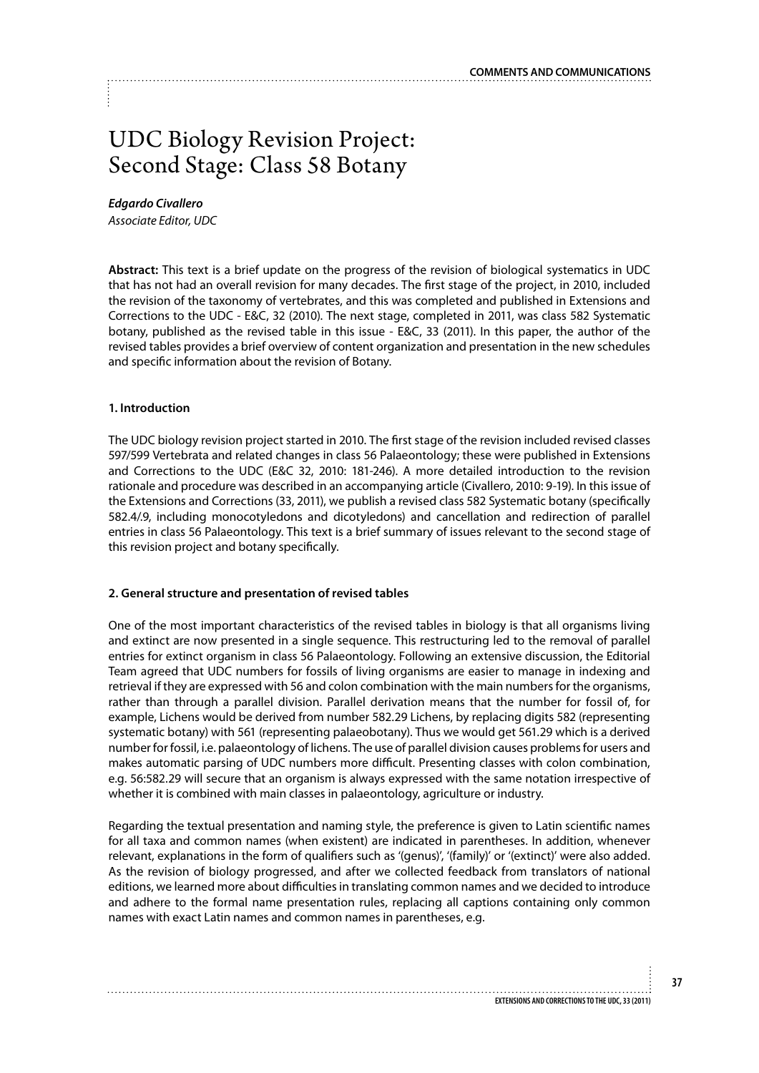# UDC Biology Revision Project: Second Stage: Class 58 Botany

*Edgardo Civallero*

*Associate Editor, UDC* 

**Abstract:** This text is a brief update on the progress of the revision of biological systematics in UDC that has not had an overall revision for many decades. The first stage of the project, in 2010, included the revision of the taxonomy of vertebrates, and this was completed and published in Extensions and Corrections to the UDC - E&C, 32 (2010). The next stage, completed in 2011, was class 582 Systematic botany, published as the revised table in this issue - E&C, 33 (2011). In this paper, the author of the revised tables provides a brief overview of content organization and presentation in the new schedules and specific information about the revision of Botany.

# **1. Introduction**

The UDC biology revision project started in 2010. The first stage of the revision included revised classes 597/599 Vertebrata and related changes in class 56 Palaeontology; these were published in Extensions and Corrections to the UDC (E&C 32, 2010: 181-246). A more detailed introduction to the revision rationale and procedure was described in an accompanying article (Civallero, 2010: 9-19). In this issue of the Extensions and Corrections (33, 2011), we publish a revised class 582 Systematic botany (specifically 582.4/.9, including monocotyledons and dicotyledons) and cancellation and redirection of parallel entries in class 56 Palaeontology. This text is a brief summary of issues relevant to the second stage of this revision project and botany specifically.

### **2. General structure and presentation of revised tables**

One of the most important characteristics of the revised tables in biology is that all organisms living and extinct are now presented in a single sequence. This restructuring led to the removal of parallel entries for extinct organism in class 56 Palaeontology. Following an extensive discussion, the Editorial Team agreed that UDC numbers for fossils of living organisms are easier to manage in indexing and retrieval if they are expressed with 56 and colon combination with the main numbers for the organisms, rather than through a parallel division. Parallel derivation means that the number for fossil of, for example, Lichens would be derived from number 582.29 Lichens, by replacing digits 582 (representing systematic botany) with 561 (representing palaeobotany). Thus we would get 561.29 which is a derived number for fossil, i.e. palaeontology of lichens. The use of parallel division causes problems for users and makes automatic parsing of UDC numbers more difficult. Presenting classes with colon combination, e.g. 56:582.29 will secure that an organism is always expressed with the same notation irrespective of whether it is combined with main classes in palaeontology, agriculture or industry.

Regarding the textual presentation and naming style, the preference is given to Latin scientific names for all taxa and common names (when existent) are indicated in parentheses. In addition, whenever relevant, explanations in the form of qualifiers such as '(genus)', '(family)' or '(extinct)' were also added. As the revision of biology progressed, and after we collected feedback from translators of national editions, we learned more about difficulties in translating common names and we decided to introduce and adhere to the formal name presentation rules, replacing all captions containing only common names with exact Latin names and common names in parentheses, e.g.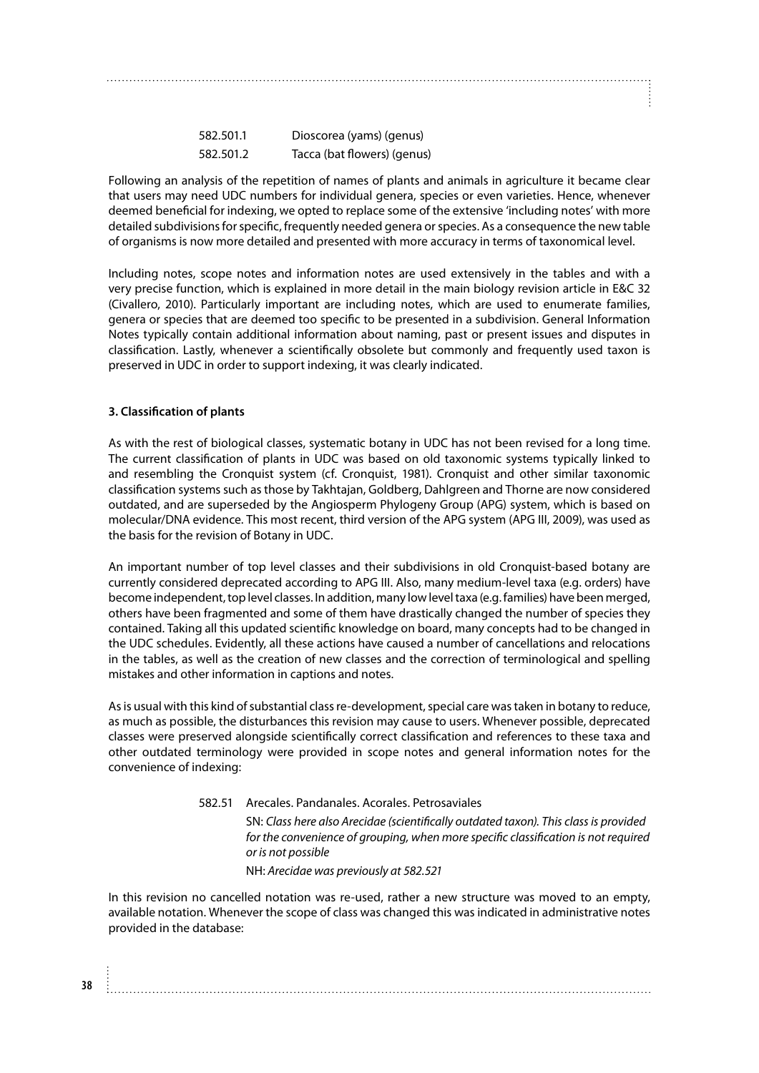| 582.501.1 | Dioscorea (yams) (genus)    |
|-----------|-----------------------------|
| 582.501.2 | Tacca (bat flowers) (genus) |

Following an analysis of the repetition of names of plants and animals in agriculture it became clear that users may need UDC numbers for individual genera, species or even varieties. Hence, whenever deemed beneficial for indexing, we opted to replace some of the extensive 'including notes' with more detailed subdivisions for specific, frequently needed genera or species. As a consequence the new table of organisms is now more detailed and presented with more accuracy in terms of taxonomical level.

Including notes, scope notes and information notes are used extensively in the tables and with a very precise function, which is explained in more detail in the main biology revision article in E&C 32 (Civallero, 2010). Particularly important are including notes, which are used to enumerate families, genera or species that are deemed too specific to be presented in a subdivision. General Information Notes typically contain additional information about naming, past or present issues and disputes in classification. Lastly, whenever a scientifically obsolete but commonly and frequently used taxon is preserved in UDC in order to support indexing, it was clearly indicated.

# **3. Classification of plants**

**38**

As with the rest of biological classes, systematic botany in UDC has not been revised for a long time. The current classification of plants in UDC was based on old taxonomic systems typically linked to and resembling the Cronquist system (cf. Cronquist, 1981). Cronquist and other similar taxonomic classification systems such as those by Takhtajan, Goldberg, Dahlgreen and Thorne are now considered outdated, and are superseded by the Angiosperm Phylogeny Group (APG) system, which is based on molecular/DNA evidence. This most recent, third version of the APG system (APG III, 2009), was used as the basis for the revision of Botany in UDC.

An important number of top level classes and their subdivisions in old Cronquist-based botany are currently considered deprecated according to APG III. Also, many medium-level taxa (e.g. orders) have become independent, top level classes. In addition, many low level taxa (e.g. families) have been merged, others have been fragmented and some of them have drastically changed the number of species they contained. Taking all this updated scientific knowledge on board, many concepts had to be changed in the UDC schedules. Evidently, all these actions have caused a number of cancellations and relocations in the tables, as well as the creation of new classes and the correction of terminological and spelling mistakes and other information in captions and notes.

As is usual with this kind of substantial class re-development, special care was taken in botany to reduce, as much as possible, the disturbances this revision may cause to users. Whenever possible, deprecated classes were preserved alongside scientifically correct classification and references to these taxa and other outdated terminology were provided in scope notes and general information notes for the convenience of indexing:

> 582.51 Arecales. Pandanales. Acorales. Petrosaviales SN: *Class here also Arecidae (scientifically outdated taxon). This class is provided for the convenience of grouping, when more specific classification is not required or is not possible* NH: *Arecidae was previously at 582.521*

In this revision no cancelled notation was re-used, rather a new structure was moved to an empty, available notation. Whenever the scope of class was changed this was indicated in administrative notes provided in the database: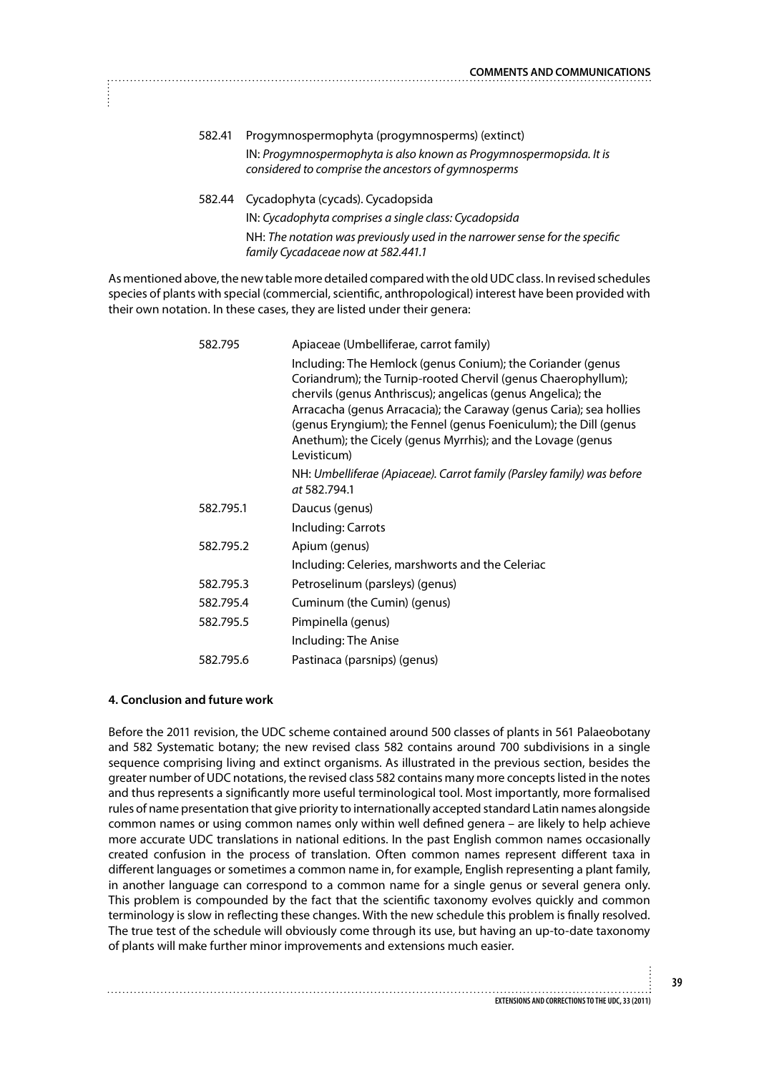- 582.41 Progymnospermophyta (progymnosperms) (extinct) IN: *Progymnospermophyta is also known as Progymnospermopsida. It is considered to comprise the ancestors of gymnosperms*
- 582.44 Cycadophyta (cycads). Cycadopsida IN: *Cycadophyta comprises a single class: Cycadopsida* NH: *The notation was previously used in the narrower sense for the specific family Cycadaceae now at 582.441.1*

As mentioned above, the new table more detailed compared with the old UDC class. In revised schedules species of plants with special (commercial, scientific, anthropological) interest have been provided with their own notation. In these cases, they are listed under their genera:

| 582.795   | Apiaceae (Umbelliferae, carrot family)                                                                                                                                                                                                                                                                                                                                                                                |
|-----------|-----------------------------------------------------------------------------------------------------------------------------------------------------------------------------------------------------------------------------------------------------------------------------------------------------------------------------------------------------------------------------------------------------------------------|
|           | Including: The Hemlock (genus Conium); the Coriander (genus<br>Coriandrum); the Turnip-rooted Chervil (genus Chaerophyllum);<br>chervils (genus Anthriscus); angelicas (genus Angelica); the<br>Arracacha (genus Arracacia); the Caraway (genus Caria); sea hollies<br>(genus Eryngium); the Fennel (genus Foeniculum); the Dill (genus<br>Anethum); the Cicely (genus Myrrhis); and the Lovage (genus<br>Levisticum) |
|           | NH: Umbelliferae (Apiaceae). Carrot family (Parsley family) was before<br>at 582.794.1                                                                                                                                                                                                                                                                                                                                |
| 582.795.1 | Daucus (genus)                                                                                                                                                                                                                                                                                                                                                                                                        |
|           | Including: Carrots                                                                                                                                                                                                                                                                                                                                                                                                    |
| 582.795.2 | Apium (genus)                                                                                                                                                                                                                                                                                                                                                                                                         |
|           | Including: Celeries, marshworts and the Celeriac                                                                                                                                                                                                                                                                                                                                                                      |
| 582.795.3 | Petroselinum (parsleys) (genus)                                                                                                                                                                                                                                                                                                                                                                                       |
| 582.795.4 | Cuminum (the Cumin) (genus)                                                                                                                                                                                                                                                                                                                                                                                           |
| 582.795.5 | Pimpinella (genus)                                                                                                                                                                                                                                                                                                                                                                                                    |
|           | Including: The Anise                                                                                                                                                                                                                                                                                                                                                                                                  |
| 582.795.6 | Pastinaca (parsnips) (genus)                                                                                                                                                                                                                                                                                                                                                                                          |

### **4. Conclusion and future work**

Before the 2011 revision, the UDC scheme contained around 500 classes of plants in 561 Palaeobotany and 582 Systematic botany; the new revised class 582 contains around 700 subdivisions in a single sequence comprising living and extinct organisms. As illustrated in the previous section, besides the greater number of UDC notations, the revised class 582 contains many more concepts listed in the notes and thus represents a significantly more useful terminological tool. Most importantly, more formalised rules of name presentation that give priority to internationally accepted standard Latin names alongside common names or using common names only within well defined genera – are likely to help achieve more accurate UDC translations in national editions. In the past English common names occasionally created confusion in the process of translation. Often common names represent different taxa in different languages or sometimes a common name in, for example, English representing a plant family, in another language can correspond to a common name for a single genus or several genera only. This problem is compounded by the fact that the scientific taxonomy evolves quickly and common terminology is slow in reflecting these changes. With the new schedule this problem is finally resolved. The true test of the schedule will obviously come through its use, but having an up-to-date taxonomy of plants will make further minor improvements and extensions much easier.